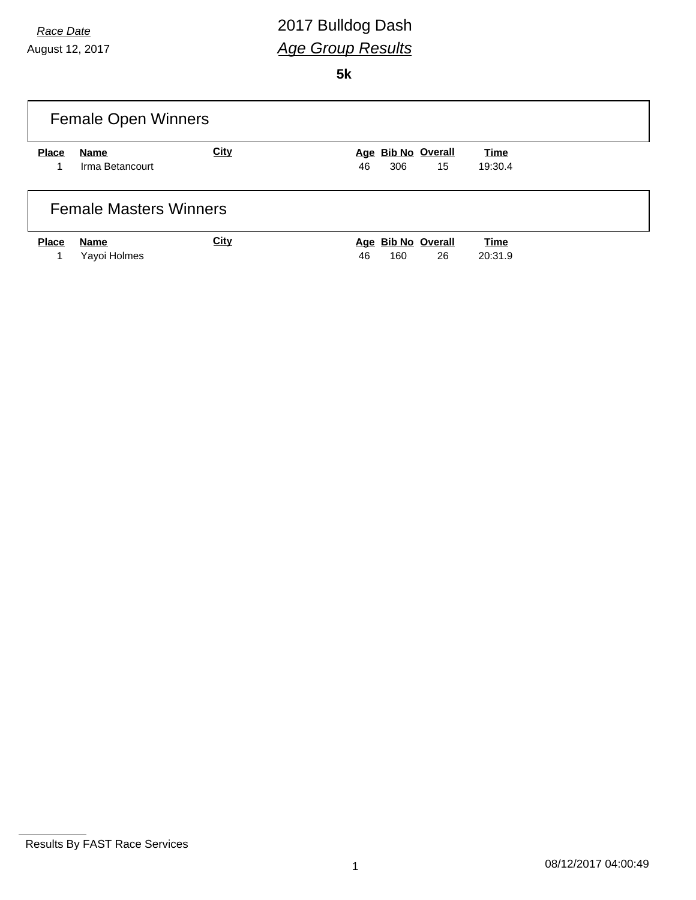# *Race Date* 2017 Bulldog Dash *Age Group Results*

**5k**

|              | <b>Female Open Winners</b>    |             |                    |         |
|--------------|-------------------------------|-------------|--------------------|---------|
| <b>Place</b> | Name                          | <b>City</b> | Age Bib No Overall | Time    |
| 1            | Irma Betancourt               |             | 15<br>306<br>46    | 19:30.4 |
|              | <b>Female Masters Winners</b> |             |                    |         |
| <b>Place</b> | Name                          | <b>City</b> | Age Bib No Overall | Time    |
|              | Yayoi Holmes                  |             | 26<br>46<br>160    | 20:31.9 |

Results By FAST Race Services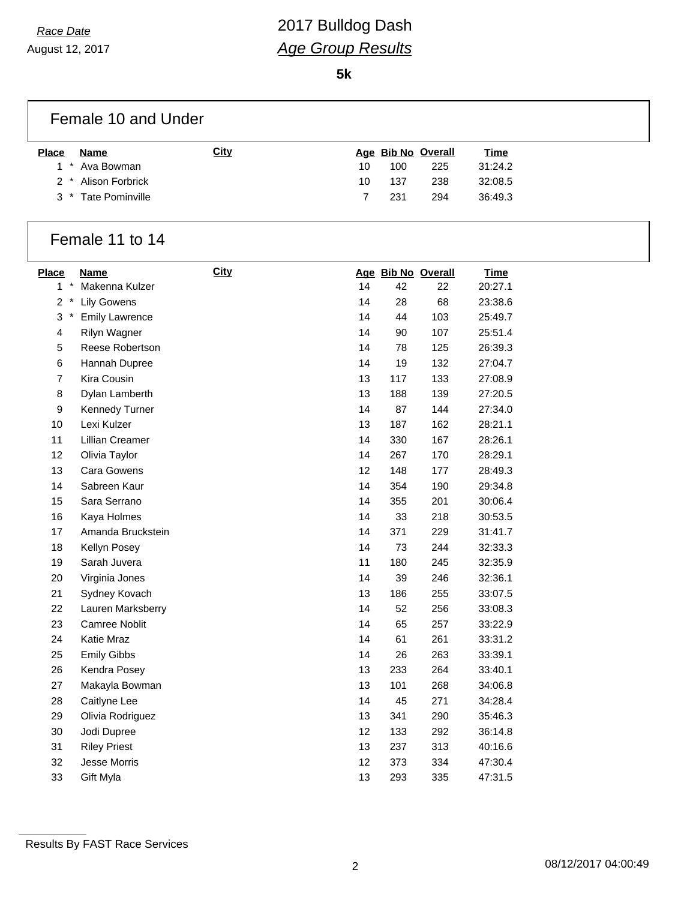# *Race Date* 2017 Bulldog Dash *Age Group Results*

**5k**

| Female 10 and Under |  |
|---------------------|--|
|                     |  |

| <b>Place</b> | Name                | Citv |     |      | Age Bib No Overall | <u>Time</u> |
|--------------|---------------------|------|-----|------|--------------------|-------------|
|              | 1 * Ava Bowman      |      | 10. | 100  | 225                | 31:24.2     |
|              | 2 * Alison Forbrick |      | 10. | -137 | 238                | 32:08.5     |
|              | 3 * Tate Pominville |      |     | -231 | 294                | 36:49.3     |

#### Female 11 to 14

| <b>Place</b>   | Name                  | City |    | Age Bib No Overall |     | <b>Time</b> |
|----------------|-----------------------|------|----|--------------------|-----|-------------|
| 1              | Makenna Kulzer        |      | 14 | 42                 | 22  | 20:27.1     |
| $\overline{2}$ | <b>Lily Gowens</b>    |      | 14 | 28                 | 68  | 23:38.6     |
| 3              | <b>Emily Lawrence</b> |      | 14 | 44                 | 103 | 25:49.7     |
| 4              | Rilyn Wagner          |      | 14 | 90                 | 107 | 25:51.4     |
| 5              | Reese Robertson       |      | 14 | 78                 | 125 | 26:39.3     |
| 6              | Hannah Dupree         |      | 14 | 19                 | 132 | 27:04.7     |
| $\overline{7}$ | Kira Cousin           |      | 13 | 117                | 133 | 27:08.9     |
| 8              | Dylan Lamberth        |      | 13 | 188                | 139 | 27:20.5     |
| 9              | Kennedy Turner        |      | 14 | 87                 | 144 | 27:34.0     |
| 10             | Lexi Kulzer           |      | 13 | 187                | 162 | 28:21.1     |
| 11             | Lillian Creamer       |      | 14 | 330                | 167 | 28:26.1     |
| 12             | Olivia Taylor         |      | 14 | 267                | 170 | 28:29.1     |
| 13             | Cara Gowens           |      | 12 | 148                | 177 | 28:49.3     |
| 14             | Sabreen Kaur          |      | 14 | 354                | 190 | 29:34.8     |
| 15             | Sara Serrano          |      | 14 | 355                | 201 | 30:06.4     |
| 16             | Kaya Holmes           |      | 14 | 33                 | 218 | 30:53.5     |
| 17             | Amanda Bruckstein     |      | 14 | 371                | 229 | 31:41.7     |
| 18             | Kellyn Posey          |      | 14 | 73                 | 244 | 32:33.3     |
| 19             | Sarah Juvera          |      | 11 | 180                | 245 | 32:35.9     |
| 20             | Virginia Jones        |      | 14 | 39                 | 246 | 32:36.1     |
| 21             | Sydney Kovach         |      | 13 | 186                | 255 | 33:07.5     |
| 22             | Lauren Marksberry     |      | 14 | 52                 | 256 | 33:08.3     |
| 23             | <b>Camree Noblit</b>  |      | 14 | 65                 | 257 | 33:22.9     |
| 24             | Katie Mraz            |      | 14 | 61                 | 261 | 33:31.2     |
| 25             | <b>Emily Gibbs</b>    |      | 14 | 26                 | 263 | 33:39.1     |
| 26             | Kendra Posey          |      | 13 | 233                | 264 | 33:40.1     |
| 27             | Makayla Bowman        |      | 13 | 101                | 268 | 34:06.8     |
| 28             | Caitlyne Lee          |      | 14 | 45                 | 271 | 34:28.4     |
| 29             | Olivia Rodriguez      |      | 13 | 341                | 290 | 35:46.3     |
| 30             | Jodi Dupree           |      | 12 | 133                | 292 | 36:14.8     |
| 31             | <b>Riley Priest</b>   |      | 13 | 237                | 313 | 40:16.6     |
| 32             | <b>Jesse Morris</b>   |      | 12 | 373                | 334 | 47:30.4     |
| 33             | Gift Myla             |      | 13 | 293                | 335 | 47:31.5     |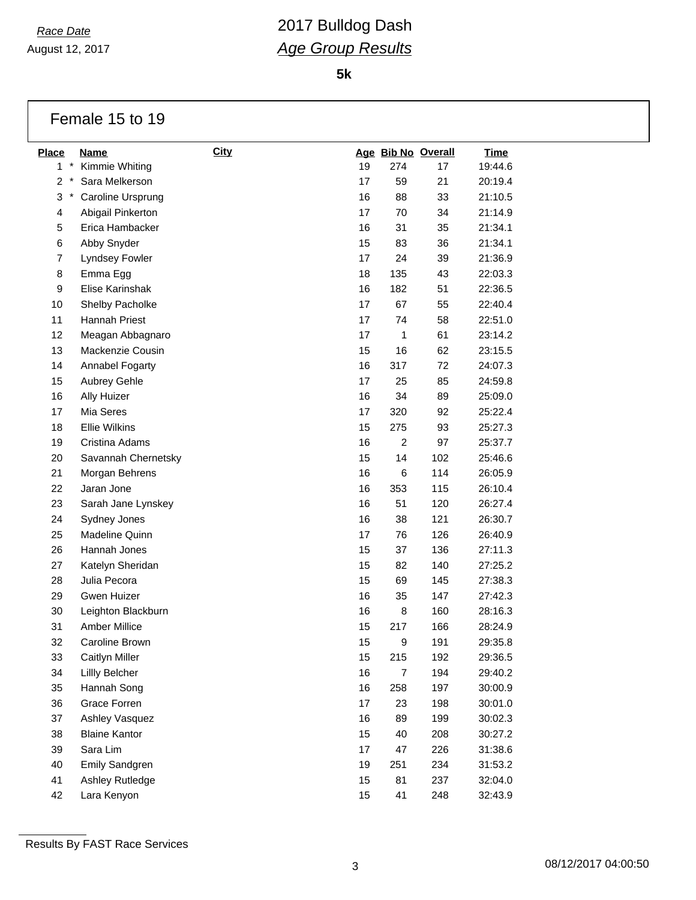August 12, 2017

**5k**

#### Female 15 to 19

| Place        | Name                  | <b>City</b> |    |                | Age Bib No Overall | <b>Time</b> |
|--------------|-----------------------|-------------|----|----------------|--------------------|-------------|
| $1 *$        | Kimmie Whiting        |             | 19 | 274            | 17                 | 19:44.6     |
| $\star$<br>2 | Sara Melkerson        |             | 17 | 59             | 21                 | 20:19.4     |
| 3<br>$\ast$  | Caroline Ursprung     |             | 16 | 88             | 33                 | 21:10.5     |
| 4            | Abigail Pinkerton     |             | 17 | 70             | 34                 | 21:14.9     |
| 5            | Erica Hambacker       |             | 16 | 31             | 35                 | 21:34.1     |
| 6            | Abby Snyder           |             | 15 | 83             | 36                 | 21:34.1     |
| 7            | Lyndsey Fowler        |             | 17 | 24             | 39                 | 21:36.9     |
| 8            | Emma Egg              |             | 18 | 135            | 43                 | 22:03.3     |
| 9            | Elise Karinshak       |             | 16 | 182            | 51                 | 22:36.5     |
| 10           | Shelby Pacholke       |             | 17 | 67             | 55                 | 22:40.4     |
| 11           | Hannah Priest         |             | 17 | 74             | 58                 | 22:51.0     |
| 12           | Meagan Abbagnaro      |             | 17 | 1              | 61                 | 23:14.2     |
| 13           | Mackenzie Cousin      |             | 15 | 16             | 62                 | 23:15.5     |
| 14           | Annabel Fogarty       |             | 16 | 317            | 72                 | 24:07.3     |
| 15           | Aubrey Gehle          |             | 17 | 25             | 85                 | 24:59.8     |
| 16           | Ally Huizer           |             | 16 | 34             | 89                 | 25:09.0     |
| 17           | Mia Seres             |             | 17 | 320            | 92                 | 25:22.4     |
| 18           | <b>Ellie Wilkins</b>  |             | 15 | 275            | 93                 | 25:27.3     |
| 19           | Cristina Adams        |             | 16 | $\overline{c}$ | 97                 | 25:37.7     |
| 20           | Savannah Chernetsky   |             | 15 | 14             | 102                | 25:46.6     |
| 21           | Morgan Behrens        |             | 16 | 6              | 114                | 26:05.9     |
| 22           | Jaran Jone            |             | 16 | 353            | 115                | 26:10.4     |
| 23           | Sarah Jane Lynskey    |             | 16 | 51             | 120                | 26:27.4     |
| 24           | Sydney Jones          |             | 16 | 38             | 121                | 26:30.7     |
| 25           | Madeline Quinn        |             | 17 | 76             | 126                | 26:40.9     |
| 26           | Hannah Jones          |             | 15 | 37             | 136                | 27:11.3     |
| 27           | Katelyn Sheridan      |             | 15 | 82             | 140                | 27:25.2     |
| 28           | Julia Pecora          |             | 15 | 69             | 145                | 27:38.3     |
| 29           | Gwen Huizer           |             | 16 | 35             | 147                | 27:42.3     |
| 30           | Leighton Blackburn    |             | 16 | 8              | 160                | 28:16.3     |
| 31           | Amber Millice         |             | 15 | 217            | 166                | 28:24.9     |
| 32           | Caroline Brown        |             | 15 | 9              | 191                | 29:35.8     |
| 33           | Caitlyn Miller        |             | 15 | 215            | 192                | 29:36.5     |
| 34           | Lillly Belcher        |             | 16 | $\overline{7}$ | 194                | 29:40.2     |
| 35           | Hannah Song           |             | 16 | 258            | 197                | 30:00.9     |
| 36           | Grace Forren          |             | 17 | 23             | 198                | 30:01.0     |
| 37           | Ashley Vasquez        |             | 16 | 89             | 199                | 30:02.3     |
| 38           | <b>Blaine Kantor</b>  |             | 15 | 40             | 208                | 30:27.2     |
| 39           | Sara Lim              |             | 17 | 47             | 226                | 31:38.6     |
| 40           | <b>Emily Sandgren</b> |             | 19 | 251            | 234                | 31:53.2     |
| 41           | Ashley Rutledge       |             | 15 | 81             | 237                | 32:04.0     |
| 42           | Lara Kenyon           |             | 15 | 41             | 248                | 32:43.9     |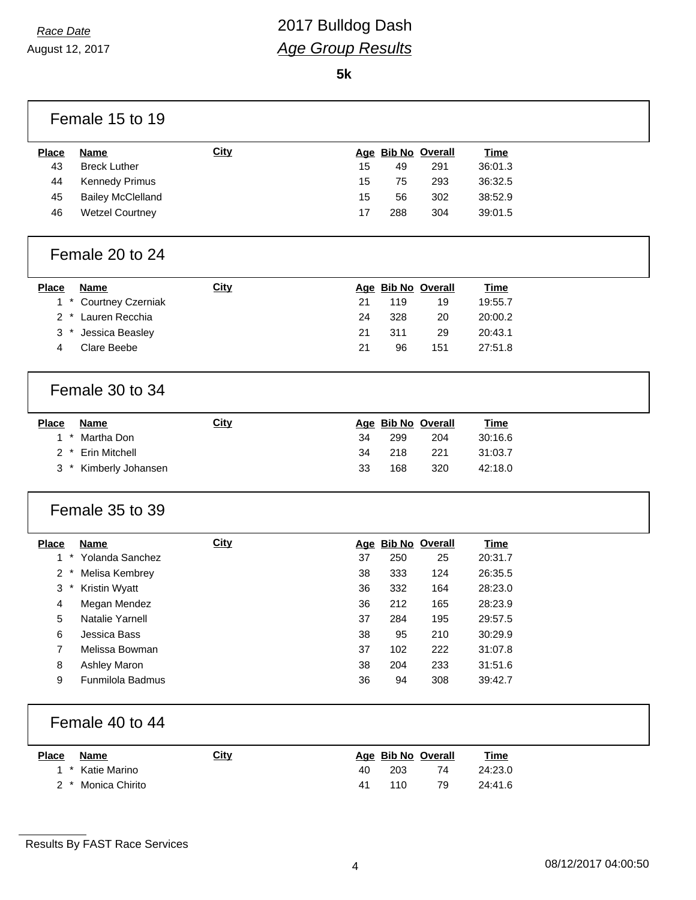## *Race Date* 2017 Bulldog Dash *Age Group Results*

**5k**

| Female 15 to 19                   |             |    |     |                    |             |  |
|-----------------------------------|-------------|----|-----|--------------------|-------------|--|
| <b>Place</b><br><b>Name</b>       | City        |    |     | Age Bib No Overall | <b>Time</b> |  |
| 43<br><b>Breck Luther</b>         |             | 15 | 49  | 291                | 36:01.3     |  |
| 44<br>Kennedy Primus              |             | 15 | 75  | 293                | 36:32.5     |  |
| 45<br><b>Bailey McClelland</b>    |             | 15 | 56  | 302                | 38:52.9     |  |
| 46<br><b>Wetzel Courtney</b>      |             | 17 | 288 | 304                | 39:01.5     |  |
| Female 20 to 24                   |             |    |     |                    |             |  |
| <b>Place</b><br><b>Name</b>       | <b>City</b> |    |     | Age Bib No Overall | <b>Time</b> |  |
| $1 *$<br><b>Courtney Czerniak</b> |             | 21 | 119 | 19                 | 19:55.7     |  |
| 2 * Lauren Recchia                |             | 24 | 328 | 20                 | 20:00.2     |  |
| 3<br>$^\star$<br>Jessica Beasley  |             | 21 | 311 | 29                 | 20:43.1     |  |
| Clare Beebe<br>4                  |             | 21 | 96  | 151                | 27:51.8     |  |
| Female 30 to 34                   |             |    |     |                    |             |  |
| <b>Place</b><br><b>Name</b>       | City        |    |     | Age Bib No Overall | <b>Time</b> |  |
| $1 *$<br>Martha Don               |             | 34 | 299 | 204                | 30:16.6     |  |
| Erin Mitchell<br>$2 *$            |             | 34 | 218 | 221                | 31:03.7     |  |
| Kimberly Johansen<br>3            |             | 33 | 168 | 320                | 42:18.0     |  |
| Female 35 to 39                   |             |    |     |                    |             |  |
| <b>Place</b><br><b>Name</b>       | City        |    |     | Age Bib No Overall | <b>Time</b> |  |
| $1*$<br>Yolanda Sanchez           |             | 37 | 250 | 25                 | 20:31.7     |  |
| 2<br>Melisa Kembrey               |             | 38 | 333 | 124                | 26:35.5     |  |
| 3<br>Kristin Wyatt<br>$\ast$      |             | 36 | 332 | 164                | 28:23.0     |  |
| Megan Mendez<br>4                 |             | 36 | 212 | 165                | 28:23.9     |  |
| 5<br>Natalie Yarnell              |             | 37 | 284 | 195                | 29:57.5     |  |
| 6<br>Jessica Bass                 |             | 38 | 95  | 210                | 30:29.9     |  |
| $\overline{7}$<br>Melissa Bowman  |             | 37 | 102 | 222                | 31:07.8     |  |
| 8<br>Ashley Maron                 |             | 38 | 204 | 233                | 31:51.6     |  |
| Funmilola Badmus<br>9             |             | 36 | 94  | 308                | 39:42.7     |  |
| Female 40 to 44                   |             |    |     |                    |             |  |
| <b>Place</b><br><b>Name</b>       | City        |    |     | Age Bib No Overall | <b>Time</b> |  |
| Katie Marino<br>$1*$              |             | 40 | 203 | 74                 | 24:23.0     |  |
|                                   |             |    |     |                    |             |  |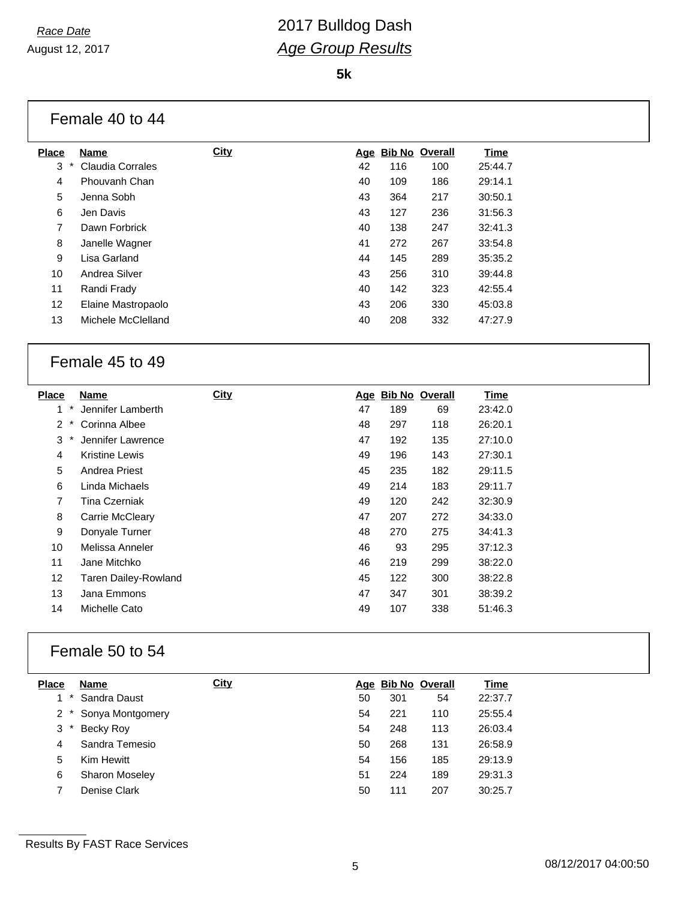**5k**

|                 | Female 40 to 44         |             |    |     |                    |             |
|-----------------|-------------------------|-------------|----|-----|--------------------|-------------|
| <b>Place</b>    | <b>Name</b>             | <b>City</b> |    |     | Age Bib No Overall | <b>Time</b> |
| 3<br>$\ast$     | <b>Claudia Corrales</b> |             | 42 | 116 | 100                | 25:44.7     |
| 4               | Phouvanh Chan           |             | 40 | 109 | 186                | 29:14.1     |
| 5               | Jenna Sobh              |             | 43 | 364 | 217                | 30:50.1     |
| 6               | Jen Davis               |             | 43 | 127 | 236                | 31:56.3     |
| 7               | Dawn Forbrick           |             | 40 | 138 | 247                | 32:41.3     |
| 8               | Janelle Wagner          |             | 41 | 272 | 267                | 33:54.8     |
| 9               | Lisa Garland            |             | 44 | 145 | 289                | 35:35.2     |
| 10              | Andrea Silver           |             | 43 | 256 | 310                | 39:44.8     |
| 11              | Randi Frady             |             | 40 | 142 | 323                | 42:55.4     |
| 12 <sup>°</sup> | Elaine Mastropaolo      |             | 43 | 206 | 330                | 45:03.8     |
| 13              | Michele McClelland      |             | 40 | 208 | 332                | 47:27.9     |
|                 |                         |             |    |     |                    |             |

#### Female 45 to 49

| <b>Place</b> | Name                  | <b>City</b> | Age | <b>Bib No Overall</b> |     | <b>Time</b> |
|--------------|-----------------------|-------------|-----|-----------------------|-----|-------------|
| 1            | Jennifer Lamberth     |             | 47  | 189                   | 69  | 23:42.0     |
| 2            | Corinna Albee         |             | 48  | 297                   | 118 | 26:20.1     |
| 3            | Jennifer Lawrence     |             | 47  | 192                   | 135 | 27:10.0     |
| 4            | <b>Kristine Lewis</b> |             | 49  | 196                   | 143 | 27:30.1     |
| 5            | Andrea Priest         |             | 45  | 235                   | 182 | 29:11.5     |
| 6            | Linda Michaels        |             | 49  | 214                   | 183 | 29:11.7     |
| 7            | Tina Czerniak         |             | 49  | 120                   | 242 | 32:30.9     |
| 8            | Carrie McCleary       |             | 47  | 207                   | 272 | 34:33.0     |
| 9            | Donyale Turner        |             | 48  | 270                   | 275 | 34:41.3     |
| 10           | Melissa Anneler       |             | 46  | 93                    | 295 | 37:12.3     |
| 11           | Jane Mitchko          |             | 46  | 219                   | 299 | 38:22.0     |
| 12           | Taren Dailey-Rowland  |             | 45  | 122                   | 300 | 38:22.8     |
| 13           | Jana Emmons           |             | 47  | 347                   | 301 | 38:39.2     |
| 14           | Michelle Cato         |             | 49  | 107                   | 338 | 51:46.3     |
|              |                       |             |     |                       |     |             |

#### Female 50 to 54

| <b>Place</b> | <b>Name</b>           | <b>City</b> |    | Age Bib No Overall |     | Time    |
|--------------|-----------------------|-------------|----|--------------------|-----|---------|
|              | Sandra Daust          |             | 50 | 301                | 54  | 22:37.7 |
|              | 2 * Sonya Montgomery  |             | 54 | 221                | 110 | 25:55.4 |
| 3            | Becky Roy             |             | 54 | 248                | 113 | 26:03.4 |
| 4            | Sandra Temesio        |             | 50 | 268                | 131 | 26:58.9 |
| 5            | <b>Kim Hewitt</b>     |             | 54 | 156                | 185 | 29:13.9 |
| 6            | <b>Sharon Moseley</b> |             | 51 | 224                | 189 | 29:31.3 |
|              | Denise Clark          |             | 50 | 111                | 207 | 30:25.7 |

Results By FAST Race Services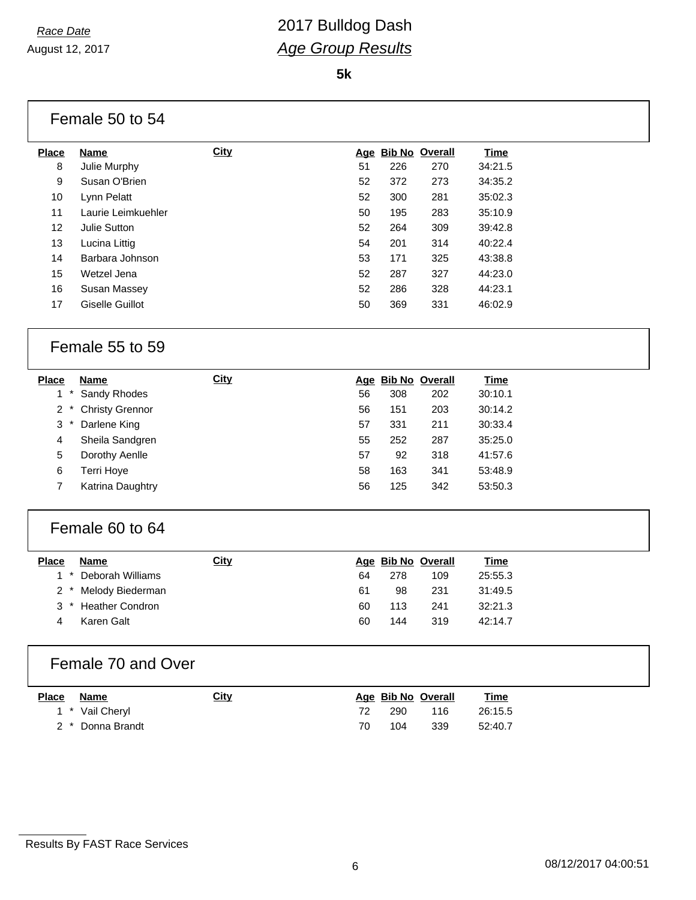**5k**

|              | Female 50 to 54        |             |    |     |                    |             |
|--------------|------------------------|-------------|----|-----|--------------------|-------------|
| <b>Place</b> | <b>Name</b>            | <b>City</b> |    |     | Age Bib No Overall | <b>Time</b> |
| 8            | Julie Murphy           |             | 51 | 226 | 270                | 34:21.5     |
| 9            | Susan O'Brien          |             | 52 | 372 | 273                | 34:35.2     |
| 10           | Lynn Pelatt            |             | 52 | 300 | 281                | 35:02.3     |
| 11           | Laurie Leimkuehler     |             | 50 | 195 | 283                | 35:10.9     |
| 12           | Julie Sutton           |             | 52 | 264 | 309                | 39:42.8     |
| 13           | Lucina Littig          |             | 54 | 201 | 314                | 40:22.4     |
| 14           | Barbara Johnson        |             | 53 | 171 | 325                | 43:38.8     |
| 15           | Wetzel Jena            |             | 52 | 287 | 327                | 44:23.0     |
| 16           | Susan Massey           |             | 52 | 286 | 328                | 44:23.1     |
| 17           | <b>Giselle Guillot</b> |             | 50 | 369 | 331                | 46:02.9     |
|              | Female 55 to 59        |             |    |     |                    |             |
| <b>Place</b> | <b>Name</b>            | <b>City</b> |    |     | Age Bib No Overall | <b>Time</b> |
| $1 *$        | Sandy Rhodes           |             | 56 | 308 | 202                | 30:10.1     |
| $2^*$        | <b>Christy Grennor</b> |             | 56 | 151 | 203                | 30:14.2     |
| 3<br>$\ast$  | Darlene King           |             | 57 | 331 | 211                | 30:33.4     |
| 4            | Sheila Sandgren        |             | 55 | 252 | 287                | 35:25.0     |
| 5            | Dorothy Aenlle         |             | 57 | 92  | 318                | 41:57.6     |
| 6            | Terri Hoye             |             | 58 | 163 | 341                | 53:48.9     |
| 7            | Katrina Daughtry       |             | 56 | 125 | 342                | 53:50.3     |
|              | Female 60 to 64        |             |    |     |                    |             |
| <b>Place</b> | <b>Name</b>            | City        |    |     | Age Bib No Overall | <b>Time</b> |
| $1 *$        | Deborah Williams       |             | 64 | 278 | 109                | 25:55.3     |
| $2*$         | Melody Biederman       |             | 61 | 98  | 231                | 31:49.5     |
| $3*$         | <b>Heather Condron</b> |             | 60 | 113 | 241                | 32:21.3     |
| 4            | Karen Galt             |             | 60 | 144 | 319                | 42:14.7     |
|              | Female 70 and Over     |             |    |     |                    |             |
| <b>Place</b> | <b>Name</b>            | <b>City</b> |    |     | Age Bib No Overall | <b>Time</b> |
| $1 *$        | Vail Cheryl            |             | 72 | 290 | 116                | 26:15.5     |
| $2^*$        | Donna Brandt           |             | 70 | 104 | 339                | 52:40.7     |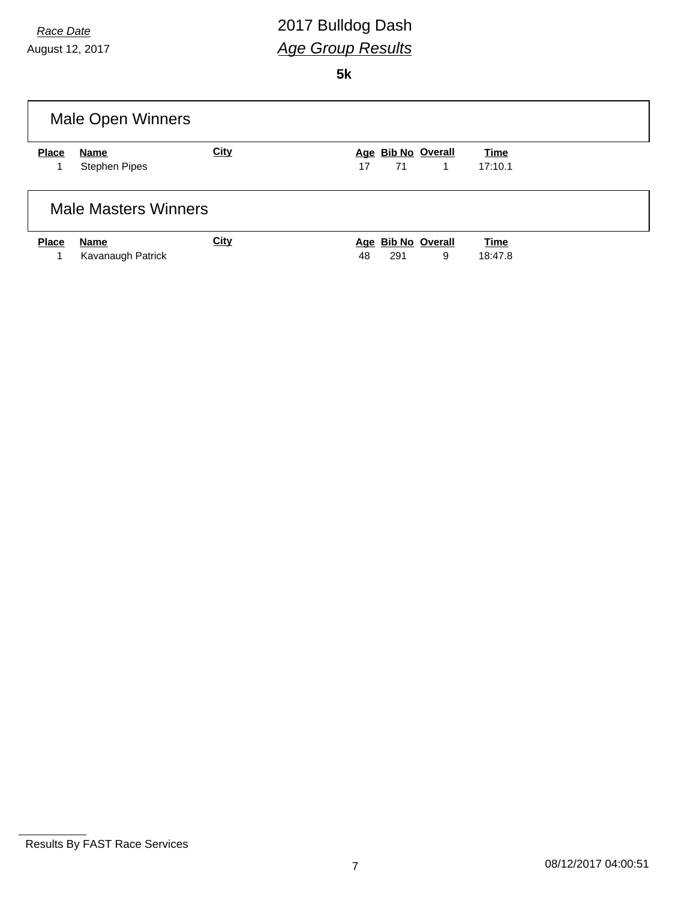# *Race Date* 2017 Bulldog Dash *Age Group Results*

**5k**

|              | Male Open Winners           |             |                          |         |
|--------------|-----------------------------|-------------|--------------------------|---------|
| <b>Place</b> | Name                        | <b>City</b> | Age Bib No Overall       | Time    |
|              | <b>Stephen Pipes</b>        |             | 71<br>17<br>$\mathbf{1}$ | 17:10.1 |
|              | <b>Male Masters Winners</b> |             |                          |         |
| <b>Place</b> | <b>Name</b>                 | <b>City</b> | Age Bib No Overall       | Time    |
| 1            | Kavanaugh Patrick           |             | 291<br>9<br>48           | 18:47.8 |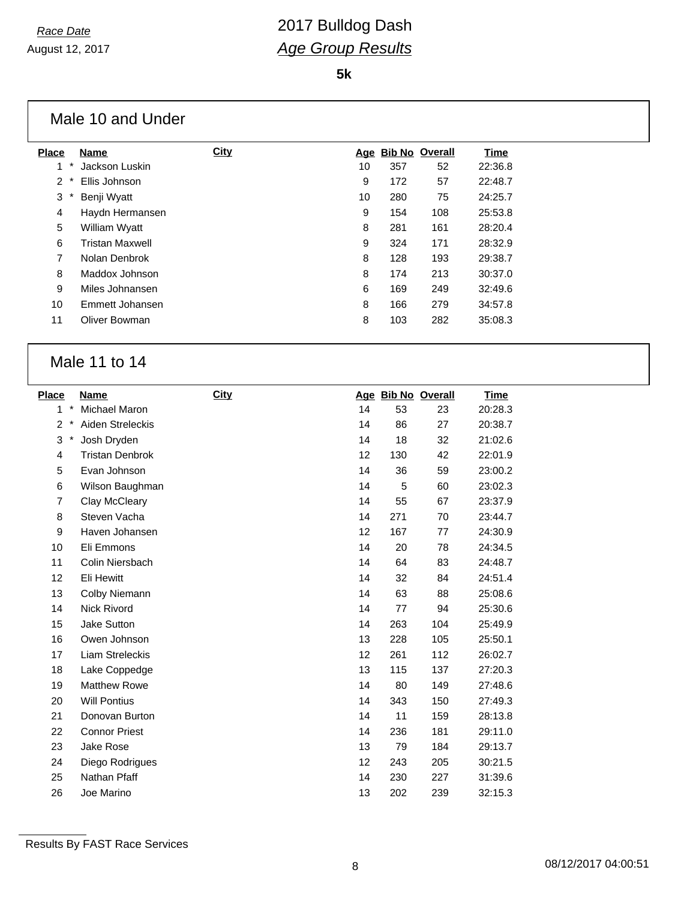Г

## *Race Date* 2017 Bulldog Dash *Age Group Results*

**5k**

|              | Male 10 and Under      |             |    |     |                    |         |
|--------------|------------------------|-------------|----|-----|--------------------|---------|
| <b>Place</b> | <b>Name</b>            | <b>City</b> |    |     | Age Bib No Overall | Time    |
| 1<br>*       | Jackson Luskin         |             | 10 | 357 | 52                 | 22:36.8 |
| 2            | Ellis Johnson          |             | 9  | 172 | 57                 | 22:48.7 |
| 3            | Benji Wyatt            |             | 10 | 280 | 75                 | 24:25.7 |
| 4            | Haydn Hermansen        |             | 9  | 154 | 108                | 25:53.8 |
| 5            | William Wyatt          |             | 8  | 281 | 161                | 28:20.4 |
| 6            | <b>Tristan Maxwell</b> |             | 9  | 324 | 171                | 28:32.9 |
| 7            | Nolan Denbrok          |             | 8  | 128 | 193                | 29:38.7 |
| 8            | Maddox Johnson         |             | 8  | 174 | 213                | 30:37.0 |
| 9            | Miles Johnansen        |             | 6  | 169 | 249                | 32:49.6 |
| 10           | Emmett Johansen        |             | 8  | 166 | 279                | 34:57.8 |
| 11           | Oliver Bowman          |             | 8  | 103 | 282                | 35:08.3 |

#### Male 11 to 14

| <b>Place</b>   |        | Name                   | <b>City</b> |    | Age Bib No Overall |     | <b>Time</b> |
|----------------|--------|------------------------|-------------|----|--------------------|-----|-------------|
| 1              | $\ast$ | <b>Michael Maron</b>   |             | 14 | 53                 | 23  | 20:28.3     |
| $\overline{c}$ | $\ast$ | Aiden Streleckis       |             | 14 | 86                 | 27  | 20:38.7     |
| 3              | $\ast$ | Josh Dryden            |             | 14 | 18                 | 32  | 21:02.6     |
| 4              |        | <b>Tristan Denbrok</b> |             | 12 | 130                | 42  | 22:01.9     |
| 5              |        | Evan Johnson           |             | 14 | 36                 | 59  | 23:00.2     |
| 6              |        | Wilson Baughman        |             | 14 | 5                  | 60  | 23:02.3     |
| $\overline{7}$ |        | Clay McCleary          |             | 14 | 55                 | 67  | 23:37.9     |
| 8              |        | Steven Vacha           |             | 14 | 271                | 70  | 23:44.7     |
| 9              |        | Haven Johansen         |             | 12 | 167                | 77  | 24:30.9     |
| 10             |        | Eli Emmons             |             | 14 | 20                 | 78  | 24:34.5     |
| 11             |        | Colin Niersbach        |             | 14 | 64                 | 83  | 24:48.7     |
| 12             |        | Eli Hewitt             |             | 14 | 32                 | 84  | 24:51.4     |
| 13             |        | Colby Niemann          |             | 14 | 63                 | 88  | 25:08.6     |
| 14             |        | Nick Rivord            |             | 14 | 77                 | 94  | 25:30.6     |
| 15             |        | Jake Sutton            |             | 14 | 263                | 104 | 25:49.9     |
| 16             |        | Owen Johnson           |             | 13 | 228                | 105 | 25:50.1     |
| 17             |        | Liam Streleckis        |             | 12 | 261                | 112 | 26:02.7     |
| 18             |        | Lake Coppedge          |             | 13 | 115                | 137 | 27:20.3     |
| 19             |        | <b>Matthew Rowe</b>    |             | 14 | 80                 | 149 | 27:48.6     |
| 20             |        | <b>Will Pontius</b>    |             | 14 | 343                | 150 | 27:49.3     |
| 21             |        | Donovan Burton         |             | 14 | 11                 | 159 | 28:13.8     |
| 22             |        | <b>Connor Priest</b>   |             | 14 | 236                | 181 | 29:11.0     |
| 23             |        | Jake Rose              |             | 13 | 79                 | 184 | 29:13.7     |
| 24             |        | Diego Rodrigues        |             | 12 | 243                | 205 | 30:21.5     |
| 25             |        | Nathan Pfaff           |             | 14 | 230                | 227 | 31:39.6     |
| 26             |        | Joe Marino             |             | 13 | 202                | 239 | 32:15.3     |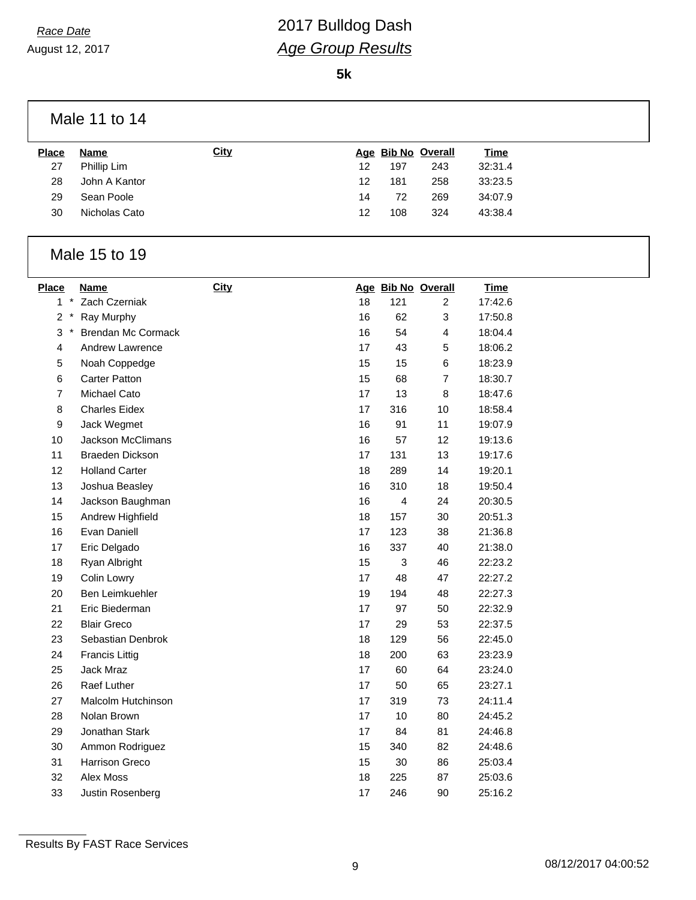# *Race Date* 2017 Bulldog Dash *Age Group Results*

**5k**

| Male 11 to 14 |  |  |
|---------------|--|--|
|               |  |  |

| <b>Place</b> | Name          | <b>City</b> |    |     | Age Bib No Overall | <u>Time</u> |
|--------------|---------------|-------------|----|-----|--------------------|-------------|
| 27           | Phillip Lim   |             | 12 | 197 | 243                | 32:31.4     |
| 28           | John A Kantor |             | 12 | 181 | 258                | 33:23.5     |
| 29           | Sean Poole    |             | 14 | 72  | 269                | 34:07.9     |
| 30           | Nicholas Cato |             | 12 | 108 | 324                | 43:38.4     |
|              |               |             |    |     |                    |             |

#### Male 15 to 19

| <b>Place</b>            | Name                      | <b>City</b> |    | Age Bib No Overall |                | <b>Time</b> |
|-------------------------|---------------------------|-------------|----|--------------------|----------------|-------------|
| 1                       | Zach Czerniak             |             | 18 | 121                | 2              | 17:42.6     |
| 2<br>$\ast$             | Ray Murphy                |             | 16 | 62                 | 3              | 17:50.8     |
| 3<br>$\ast$             | <b>Brendan Mc Cormack</b> |             | 16 | 54                 | $\overline{4}$ | 18:04.4     |
| $\overline{\mathbf{4}}$ | Andrew Lawrence           |             | 17 | 43                 | 5              | 18:06.2     |
| 5                       | Noah Coppedge             |             | 15 | 15                 | 6              | 18:23.9     |
| 6                       | <b>Carter Patton</b>      |             | 15 | 68                 | $\overline{7}$ | 18:30.7     |
| $\overline{7}$          | Michael Cato              |             | 17 | 13                 | 8              | 18:47.6     |
| 8                       | <b>Charles Eidex</b>      |             | 17 | 316                | 10             | 18:58.4     |
| 9                       | Jack Wegmet               |             | 16 | 91                 | 11             | 19:07.9     |
| 10                      | <b>Jackson McClimans</b>  |             | 16 | 57                 | 12             | 19:13.6     |
| 11                      | <b>Braeden Dickson</b>    |             | 17 | 131                | 13             | 19:17.6     |
| 12                      | <b>Holland Carter</b>     |             | 18 | 289                | 14             | 19:20.1     |
| 13                      | Joshua Beasley            |             | 16 | 310                | 18             | 19:50.4     |
| 14                      | Jackson Baughman          |             | 16 | 4                  | 24             | 20:30.5     |
| 15                      | Andrew Highfield          |             | 18 | 157                | 30             | 20:51.3     |
| 16                      | Evan Daniell              |             | 17 | 123                | 38             | 21:36.8     |
| 17                      | Eric Delgado              |             | 16 | 337                | 40             | 21:38.0     |
| 18                      | Ryan Albright             |             | 15 | 3                  | 46             | 22:23.2     |
| 19                      | Colin Lowry               |             | 17 | 48                 | 47             | 22:27.2     |
| 20                      | Ben Leimkuehler           |             | 19 | 194                | 48             | 22:27.3     |
| 21                      | Eric Biederman            |             | 17 | 97                 | 50             | 22:32.9     |
| 22                      | <b>Blair Greco</b>        |             | 17 | 29                 | 53             | 22:37.5     |
| 23                      | Sebastian Denbrok         |             | 18 | 129                | 56             | 22:45.0     |
| 24                      | <b>Francis Littig</b>     |             | 18 | 200                | 63             | 23:23.9     |
| 25                      | <b>Jack Mraz</b>          |             | 17 | 60                 | 64             | 23:24.0     |
| 26                      | Raef Luther               |             | 17 | 50                 | 65             | 23:27.1     |
| 27                      | Malcolm Hutchinson        |             | 17 | 319                | 73             | 24:11.4     |
| 28                      | Nolan Brown               |             | 17 | 10                 | 80             | 24:45.2     |
| 29                      | Jonathan Stark            |             | 17 | 84                 | 81             | 24:46.8     |
| 30                      | Ammon Rodriguez           |             | 15 | 340                | 82             | 24:48.6     |
| 31                      | Harrison Greco            |             | 15 | 30                 | 86             | 25:03.4     |
| 32                      | Alex Moss                 |             | 18 | 225                | 87             | 25:03.6     |
| 33                      | Justin Rosenberg          |             | 17 | 246                | 90             | 25:16.2     |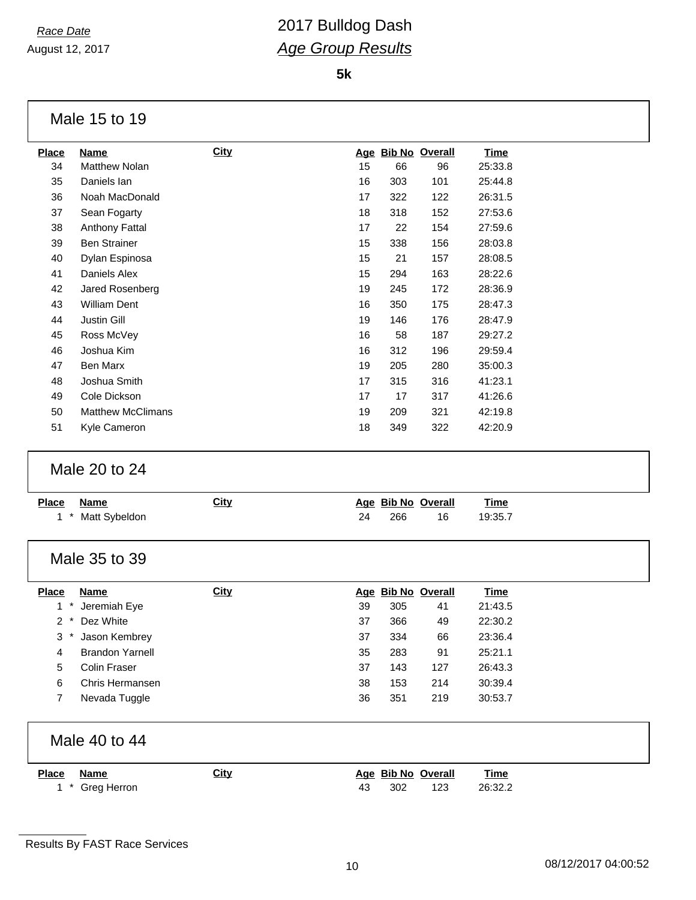August 12, 2017

**5k**

| Name                     | <b>City</b> | Age |     |     | <u>Time</u>           |
|--------------------------|-------------|-----|-----|-----|-----------------------|
| <b>Matthew Nolan</b>     |             | 15  | 66  | 96  | 25:33.8               |
| Daniels lan              |             | 16  | 303 | 101 | 25:44.8               |
| Noah MacDonald           |             | 17  | 322 | 122 | 26:31.5               |
| Sean Fogarty             |             | 18  | 318 | 152 | 27:53.6               |
| Anthony Fattal           |             | 17  | 22  | 154 | 27:59.6               |
| <b>Ben Strainer</b>      |             | 15  | 338 | 156 | 28:03.8               |
| Dylan Espinosa           |             | 15  | 21  | 157 | 28:08.5               |
| Daniels Alex             |             | 15  | 294 | 163 | 28:22.6               |
| Jared Rosenberg          |             | 19  | 245 | 172 | 28:36.9               |
| <b>William Dent</b>      |             | 16  | 350 | 175 | 28:47.3               |
| <b>Justin Gill</b>       |             | 19  | 146 | 176 | 28:47.9               |
| Ross McVey               |             | 16  | 58  | 187 | 29:27.2               |
| Joshua Kim               |             | 16  | 312 | 196 | 29:59.4               |
| Ben Marx                 |             | 19  | 205 | 280 | 35:00.3               |
| Joshua Smith             |             | 17  | 315 | 316 | 41:23.1               |
| Cole Dickson             |             | 17  | 17  | 317 | 41:26.6               |
| <b>Matthew McClimans</b> |             | 19  | 209 | 321 | 42:19.8               |
| Kyle Cameron             |             | 18  | 349 | 322 | 42:20.9               |
|                          |             |     |     |     | <b>Bib No Overall</b> |

#### Male 20 to 24

| <b>Place</b>   | <b>Name</b><br>Matt Sybeldon | <b>City</b> | <u>Age</u><br>24 | 266 | <b>Bib No Overall</b><br>16 | <b>Time</b><br>19:35.7 |
|----------------|------------------------------|-------------|------------------|-----|-----------------------------|------------------------|
|                | Male 35 to 39                |             |                  |     |                             |                        |
| <b>Place</b>   | <b>Name</b>                  | <b>City</b> | <u>Age</u>       |     | <b>Bib No Overall</b>       | <b>Time</b>            |
|                | Jeremiah Eye                 |             | 39               | 305 | 41                          | 21:43.5                |
| $\mathbf{2}$   | Dez White                    |             | 37               | 366 | 49                          | 22:30.2                |
| 3              | Jason Kembrey                |             | 37               | 334 | 66                          | 23:36.4                |
| 4              | <b>Brandon Yarnell</b>       |             | 35               | 283 | 91                          | 25:21.1                |
| 5              | <b>Colin Fraser</b>          |             | 37               | 143 | 127                         | 26:43.3                |
| 6              | Chris Hermansen              |             | 38               | 153 | 214                         | 30:39.4                |
| $\overline{7}$ | Nevada Tuggle                |             | 36               | 351 | 219                         | 30:53.7                |
|                | Male 40 to 44                |             |                  |     |                             |                        |
| <b>Place</b>   | <b>Name</b>                  | <b>City</b> | <u>Age</u>       |     | <b>Bib No Overall</b>       | <b>Time</b>            |
|                | Greg Herron                  |             | 43               | 302 | 123                         | 26:32.2                |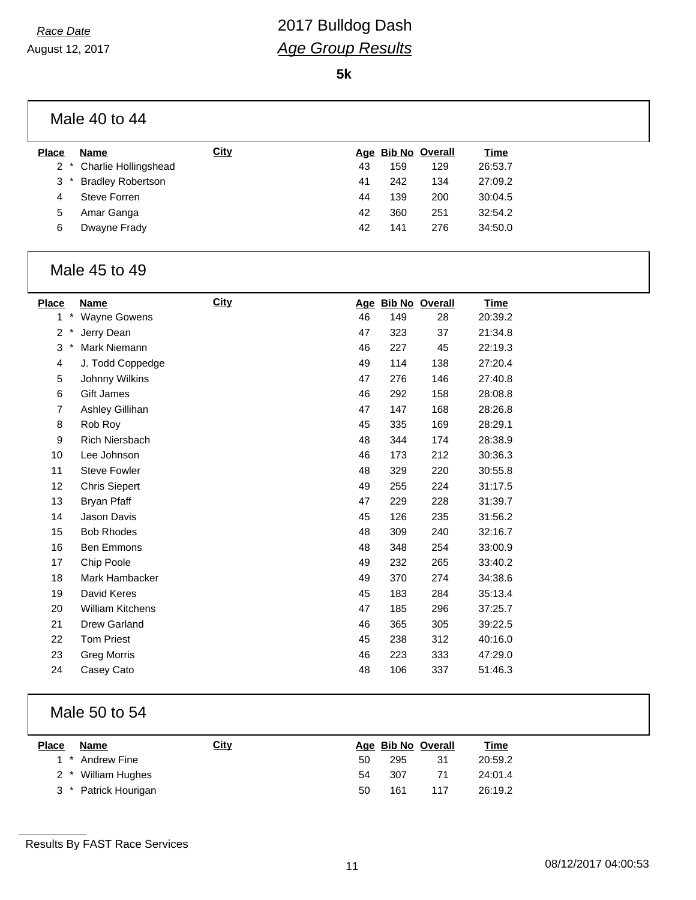August 12, 2017

**5k**

|              | Male 40 to 44            |             |    |     |                    |             |
|--------------|--------------------------|-------------|----|-----|--------------------|-------------|
| <b>Place</b> | Name                     | <b>City</b> |    |     | Age Bib No Overall | <b>Time</b> |
| $\mathbf{2}$ | Charlie Hollingshead     |             | 43 | 159 | 129                | 26:53.7     |
| 3            | <b>Bradley Robertson</b> |             | 41 | 242 | 134                | 27:09.2     |
| 4            | Steve Forren             |             | 44 | 139 | 200                | 30:04.5     |
| 5            | Amar Ganga               |             | 42 | 360 | 251                | 32:54.2     |
| 6            | Dwayne Frady             |             | 42 | 141 | 276                | 34:50.0     |

#### Male 45 to 49

| <b>Place</b>             | Name                    | <b>City</b> |    |     | Age Bib No Overall | <b>Time</b> |
|--------------------------|-------------------------|-------------|----|-----|--------------------|-------------|
| $\ast$<br>1              | <b>Wayne Gowens</b>     |             | 46 | 149 | 28                 | 20:39.2     |
| $\overline{c}$<br>$\ast$ | Jerry Dean              |             | 47 | 323 | 37                 | 21:34.8     |
| 3<br>$\ast$              | Mark Niemann            |             | 46 | 227 | 45                 | 22:19.3     |
| 4                        | J. Todd Coppedge        |             | 49 | 114 | 138                | 27:20.4     |
| 5                        | Johnny Wilkins          |             | 47 | 276 | 146                | 27:40.8     |
| 6                        | Gift James              |             | 46 | 292 | 158                | 28:08.8     |
| 7                        | Ashley Gillihan         |             | 47 | 147 | 168                | 28:26.8     |
| 8                        | Rob Roy                 |             | 45 | 335 | 169                | 28:29.1     |
| 9                        | Rich Niersbach          |             | 48 | 344 | 174                | 28:38.9     |
| 10                       | Lee Johnson             |             | 46 | 173 | 212                | 30:36.3     |
| 11                       | <b>Steve Fowler</b>     |             | 48 | 329 | 220                | 30:55.8     |
| 12                       | <b>Chris Siepert</b>    |             | 49 | 255 | 224                | 31:17.5     |
| 13                       | <b>Bryan Pfaff</b>      |             | 47 | 229 | 228                | 31:39.7     |
| 14                       | Jason Davis             |             | 45 | 126 | 235                | 31:56.2     |
| 15                       | <b>Bob Rhodes</b>       |             | 48 | 309 | 240                | 32:16.7     |
| 16                       | Ben Emmons              |             | 48 | 348 | 254                | 33:00.9     |
| 17                       | Chip Poole              |             | 49 | 232 | 265                | 33:40.2     |
| 18                       | Mark Hambacker          |             | 49 | 370 | 274                | 34:38.6     |
| 19                       | David Keres             |             | 45 | 183 | 284                | 35:13.4     |
| 20                       | <b>William Kitchens</b> |             | 47 | 185 | 296                | 37:25.7     |
| 21                       | Drew Garland            |             | 46 | 365 | 305                | 39:22.5     |
| 22                       | <b>Tom Priest</b>       |             | 45 | 238 | 312                | 40:16.0     |
| 23                       | <b>Greg Morris</b>      |             | 46 | 223 | 333                | 47:29.0     |
| 24                       | Casey Cato              |             | 48 | 106 | 337                | 51:46.3     |

#### Male 50 to 54

| <b>Place</b> | Name                 | <u>City</u> |    |     | Age Bib No Overall | <u>Time</u> |
|--------------|----------------------|-------------|----|-----|--------------------|-------------|
|              | 1 * Andrew Fine      |             | 50 | 295 | 31                 | 20:59.2     |
|              | 2 * William Hughes   |             | 54 | 307 | 71                 | 24:01.4     |
|              | 3 * Patrick Hourigan |             | 50 | 161 | 117                | 26:19.2     |

Results By FAST Race Services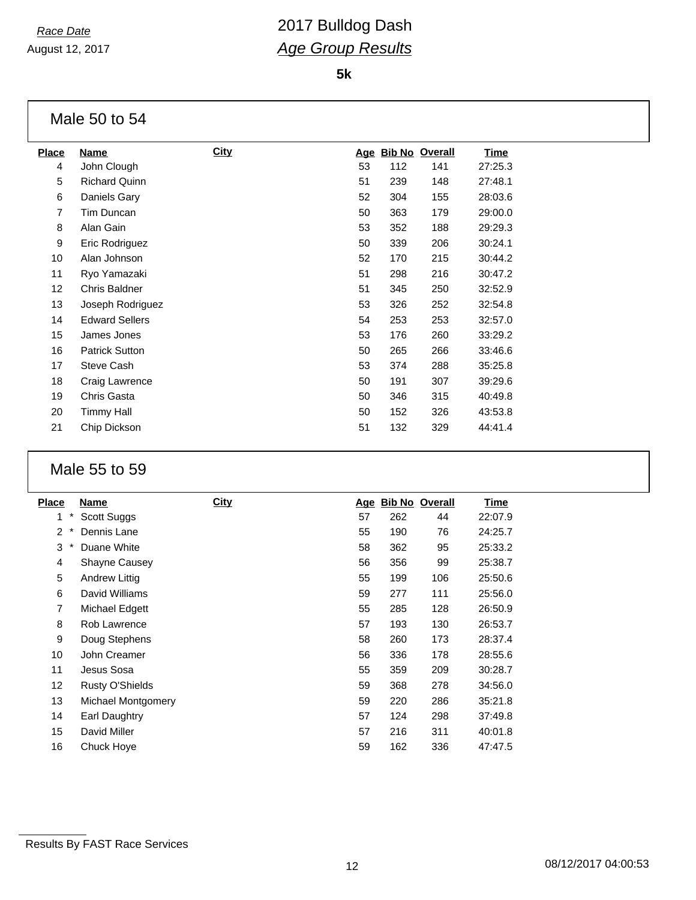August 12, 2017

**5k**

|                | Male 50 to 54         |             |    |                    |     |         |
|----------------|-----------------------|-------------|----|--------------------|-----|---------|
| <b>Place</b>   | Name                  | <b>City</b> |    | Age Bib No Overall |     | Time    |
| 4              | John Clough           |             | 53 | 112                | 141 | 27:25.3 |
| 5              | <b>Richard Quinn</b>  |             | 51 | 239                | 148 | 27:48.1 |
| 6              | Daniels Gary          |             | 52 | 304                | 155 | 28:03.6 |
| $\overline{7}$ | Tim Duncan            |             | 50 | 363                | 179 | 29:00.0 |
| 8              | Alan Gain             |             | 53 | 352                | 188 | 29:29.3 |
| 9              | Eric Rodriguez        |             | 50 | 339                | 206 | 30:24.1 |
| 10             | Alan Johnson          |             | 52 | 170                | 215 | 30:44.2 |
| 11             | Ryo Yamazaki          |             | 51 | 298                | 216 | 30:47.2 |
| 12             | <b>Chris Baldner</b>  |             | 51 | 345                | 250 | 32:52.9 |
| 13             | Joseph Rodriguez      |             | 53 | 326                | 252 | 32:54.8 |
| 14             | <b>Edward Sellers</b> |             | 54 | 253                | 253 | 32:57.0 |
| 15             | James Jones           |             | 53 | 176                | 260 | 33:29.2 |
| 16             | <b>Patrick Sutton</b> |             | 50 | 265                | 266 | 33:46.6 |
| 17             | <b>Steve Cash</b>     |             | 53 | 374                | 288 | 35:25.8 |
| 18             | Craig Lawrence        |             | 50 | 191                | 307 | 39:29.6 |
| 19             | Chris Gasta           |             | 50 | 346                | 315 | 40:49.8 |
| 20             | Timmy Hall            |             | 50 | 152                | 326 | 43:53.8 |
| 21             | Chip Dickson          |             | 51 | 132                | 329 | 44:41.4 |

#### Male 55 to 59

| <b>Place</b>             | Name                   | <b>City</b> | <u>Age</u> |     | <b>Bib No Overall</b> | <u>Time</u> |
|--------------------------|------------------------|-------------|------------|-----|-----------------------|-------------|
| *<br>1                   | Scott Suggs            |             | 57         | 262 | 44                    | 22:07.9     |
| $\overline{2}$<br>$\ast$ | Dennis Lane            |             | 55         | 190 | 76                    | 24:25.7     |
| 3<br>$\ast$              | Duane White            |             | 58         | 362 | 95                    | 25:33.2     |
| 4                        | <b>Shayne Causey</b>   |             | 56         | 356 | 99                    | 25:38.7     |
| 5                        | Andrew Littig          |             | 55         | 199 | 106                   | 25:50.6     |
| 6                        | David Williams         |             | 59         | 277 | 111                   | 25:56.0     |
| 7                        | Michael Edgett         |             | 55         | 285 | 128                   | 26:50.9     |
| 8                        | Rob Lawrence           |             | 57         | 193 | 130                   | 26:53.7     |
| 9                        | Doug Stephens          |             | 58         | 260 | 173                   | 28:37.4     |
| 10                       | John Creamer           |             | 56         | 336 | 178                   | 28:55.6     |
| 11                       | Jesus Sosa             |             | 55         | 359 | 209                   | 30:28.7     |
| 12                       | <b>Rusty O'Shields</b> |             | 59         | 368 | 278                   | 34:56.0     |
| 13                       | Michael Montgomery     |             | 59         | 220 | 286                   | 35:21.8     |
| 14                       | Earl Daughtry          |             | 57         | 124 | 298                   | 37:49.8     |
| 15                       | David Miller           |             | 57         | 216 | 311                   | 40:01.8     |
| 16                       | Chuck Hove             |             | 59         | 162 | 336                   | 47:47.5     |